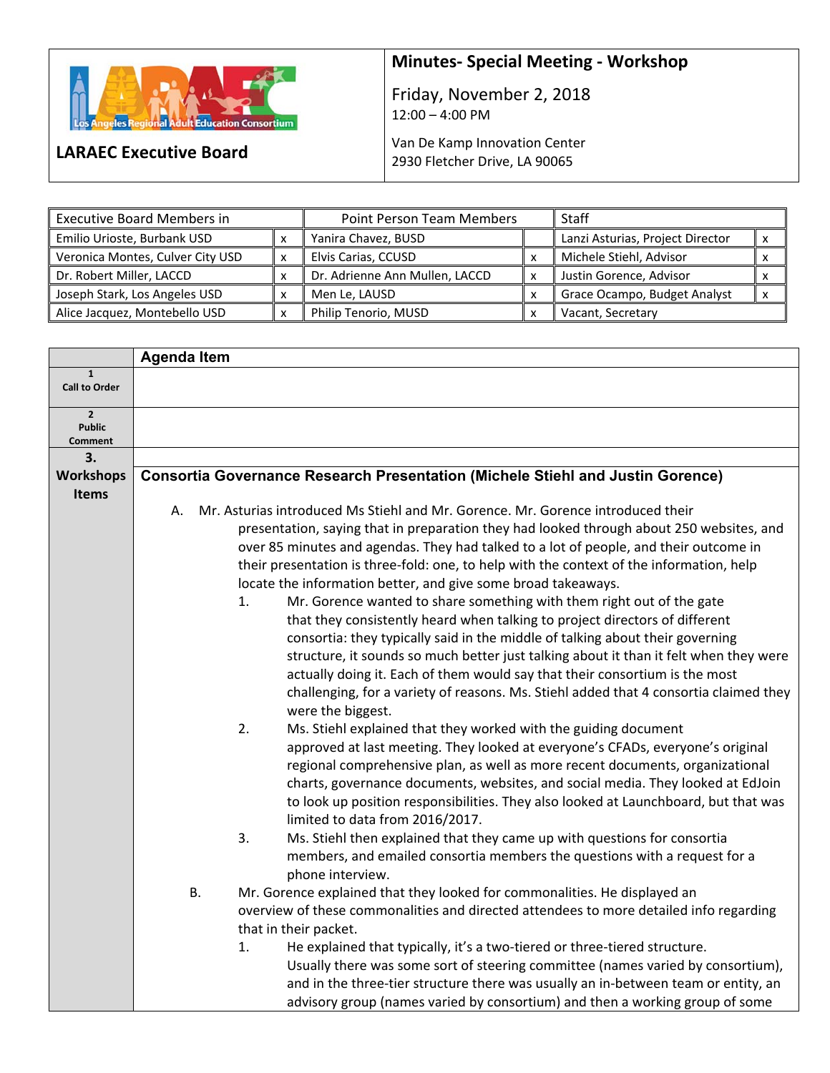

**LARAEC Executive Board** 

## **Minutes‐ Special Meeting ‐ Workshop**

Friday, November 2, 2018 12:00 – 4:00 PM

Van De Kamp Innovation Center 2930 Fletcher Drive, LA 90065

| <b>Executive Board Members in</b> |            | <b>Point Person Team Members</b> |   | Staff                            |                           |
|-----------------------------------|------------|----------------------------------|---|----------------------------------|---------------------------|
| Emilio Urioste, Burbank USD       |            | Yanira Chavez, BUSD              |   | Lanzi Asturias, Project Director | X                         |
| Veronica Montes, Culver City USD  | $\check{}$ | Elvis Carias, CCUSD              |   | Michele Stiehl, Advisor          |                           |
| Dr. Robert Miller, LACCD          | $\check{}$ | Dr. Adrienne Ann Mullen, LACCD   | x | Justin Gorence, Advisor          |                           |
| Joseph Stark, Los Angeles USD     | $\check{}$ | Men Le, LAUSD                    |   | Grace Ocampo, Budget Analyst     | $\boldsymbol{\mathsf{x}}$ |
| Alice Jacquez, Montebello USD     |            | Philip Tenorio, MUSD             |   | Vacant, Secretary                |                           |

|                                      | <b>Agenda Item</b> |                                                                                          |
|--------------------------------------|--------------------|------------------------------------------------------------------------------------------|
| $\mathbf{1}$<br><b>Call to Order</b> |                    |                                                                                          |
|                                      |                    |                                                                                          |
| $\overline{2}$                       |                    |                                                                                          |
| <b>Public</b><br>Comment             |                    |                                                                                          |
| З.                                   |                    |                                                                                          |
| <b>Workshops</b>                     |                    | <b>Consortia Governance Research Presentation (Michele Stiehl and Justin Gorence)</b>    |
| Items                                |                    |                                                                                          |
|                                      | А.                 | Mr. Asturias introduced Ms Stiehl and Mr. Gorence. Mr. Gorence introduced their          |
|                                      |                    | presentation, saying that in preparation they had looked through about 250 websites, and |
|                                      |                    | over 85 minutes and agendas. They had talked to a lot of people, and their outcome in    |
|                                      |                    | their presentation is three-fold: one, to help with the context of the information, help |
|                                      |                    | locate the information better, and give some broad takeaways.                            |
|                                      | 1.                 | Mr. Gorence wanted to share something with them right out of the gate                    |
|                                      |                    | that they consistently heard when talking to project directors of different              |
|                                      |                    | consortia: they typically said in the middle of talking about their governing            |
|                                      |                    | structure, it sounds so much better just talking about it than it felt when they were    |
|                                      |                    | actually doing it. Each of them would say that their consortium is the most              |
|                                      |                    | challenging, for a variety of reasons. Ms. Stiehl added that 4 consortia claimed they    |
|                                      |                    | were the biggest.                                                                        |
|                                      | 2.                 | Ms. Stiehl explained that they worked with the guiding document                          |
|                                      |                    | approved at last meeting. They looked at everyone's CFADs, everyone's original           |
|                                      |                    | regional comprehensive plan, as well as more recent documents, organizational            |
|                                      |                    | charts, governance documents, websites, and social media. They looked at EdJoin          |
|                                      |                    | to look up position responsibilities. They also looked at Launchboard, but that was      |
|                                      |                    | limited to data from 2016/2017.                                                          |
|                                      | 3.                 | Ms. Stiehl then explained that they came up with questions for consortia                 |
|                                      |                    | members, and emailed consortia members the questions with a request for a                |
|                                      |                    | phone interview.                                                                         |
|                                      | <b>B.</b>          | Mr. Gorence explained that they looked for commonalities. He displayed an                |
|                                      |                    | overview of these commonalities and directed attendees to more detailed info regarding   |
|                                      |                    | that in their packet.                                                                    |
|                                      | 1.                 | He explained that typically, it's a two-tiered or three-tiered structure.                |
|                                      |                    | Usually there was some sort of steering committee (names varied by consortium),          |
|                                      |                    | and in the three-tier structure there was usually an in-between team or entity, an       |
|                                      |                    | advisory group (names varied by consortium) and then a working group of some             |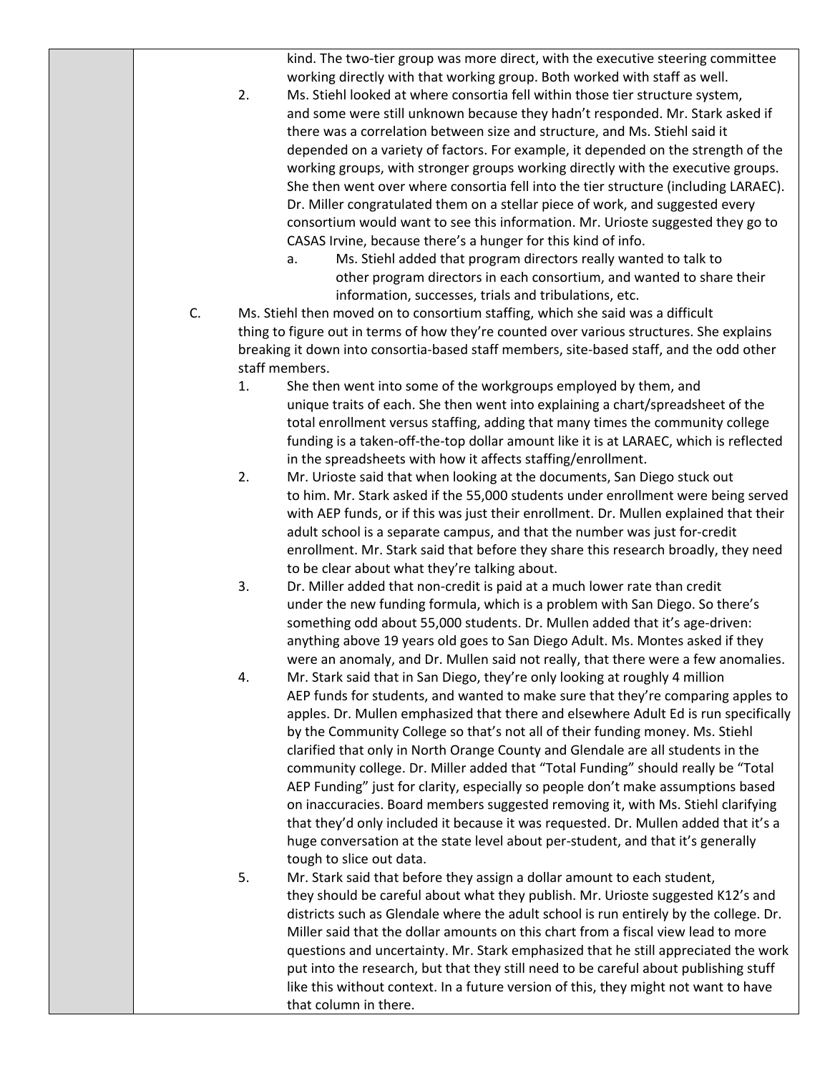kind. The two-tier group was more direct, with the executive steering committee working directly with that working group. Both worked with staff as well.

- 2. Ms. Stiehl looked at where consortia fell within those tier structure system, and some were still unknown because they hadn't responded. Mr. Stark asked if there was a correlation between size and structure, and Ms. Stiehl said it depended on a variety of factors. For example, it depended on the strength of the working groups, with stronger groups working directly with the executive groups. She then went over where consortia fell into the tier structure (including LARAEC). Dr. Miller congratulated them on a stellar piece of work, and suggested every consortium would want to see this information. Mr. Urioste suggested they go to CASAS Irvine, because there's a hunger for this kind of info.
	- a. Ms. Stiehl added that program directors really wanted to talk to other program directors in each consortium, and wanted to share their information, successes, trials and tribulations, etc.
- C. Ms. Stiehl then moved on to consortium staffing, which she said was a difficult thing to figure out in terms of how they're counted over various structures. She explains breaking it down into consortia‐based staff members, site‐based staff, and the odd other staff members.
	- 1. She then went into some of the workgroups employed by them, and unique traits of each. She then went into explaining a chart/spreadsheet of the total enrollment versus staffing, adding that many times the community college funding is a taken-off-the-top dollar amount like it is at LARAEC, which is reflected in the spreadsheets with how it affects staffing/enrollment.
	- 2. Mr. Urioste said that when looking at the documents, San Diego stuck out to him. Mr. Stark asked if the 55,000 students under enrollment were being served with AEP funds, or if this was just their enrollment. Dr. Mullen explained that their adult school is a separate campus, and that the number was just for‐credit enrollment. Mr. Stark said that before they share this research broadly, they need to be clear about what they're talking about.
	- 3. Dr. Miller added that non‐credit is paid at a much lower rate than credit under the new funding formula, which is a problem with San Diego. So there's something odd about 55,000 students. Dr. Mullen added that it's age-driven: anything above 19 years old goes to San Diego Adult. Ms. Montes asked if they were an anomaly, and Dr. Mullen said not really, that there were a few anomalies.
	- 4. Mr. Stark said that in San Diego, they're only looking at roughly 4 million AEP funds for students, and wanted to make sure that they're comparing apples to apples. Dr. Mullen emphasized that there and elsewhere Adult Ed is run specifically by the Community College so that's not all of their funding money. Ms. Stiehl clarified that only in North Orange County and Glendale are all students in the community college. Dr. Miller added that "Total Funding" should really be "Total AEP Funding" just for clarity, especially so people don't make assumptions based on inaccuracies. Board members suggested removing it, with Ms. Stiehl clarifying that they'd only included it because it was requested. Dr. Mullen added that it's a huge conversation at the state level about per-student, and that it's generally tough to slice out data.
	- 5. Mr. Stark said that before they assign a dollar amount to each student, they should be careful about what they publish. Mr. Urioste suggested K12's and districts such as Glendale where the adult school is run entirely by the college. Dr. Miller said that the dollar amounts on this chart from a fiscal view lead to more questions and uncertainty. Mr. Stark emphasized that he still appreciated the work put into the research, but that they still need to be careful about publishing stuff like this without context. In a future version of this, they might not want to have that column in there.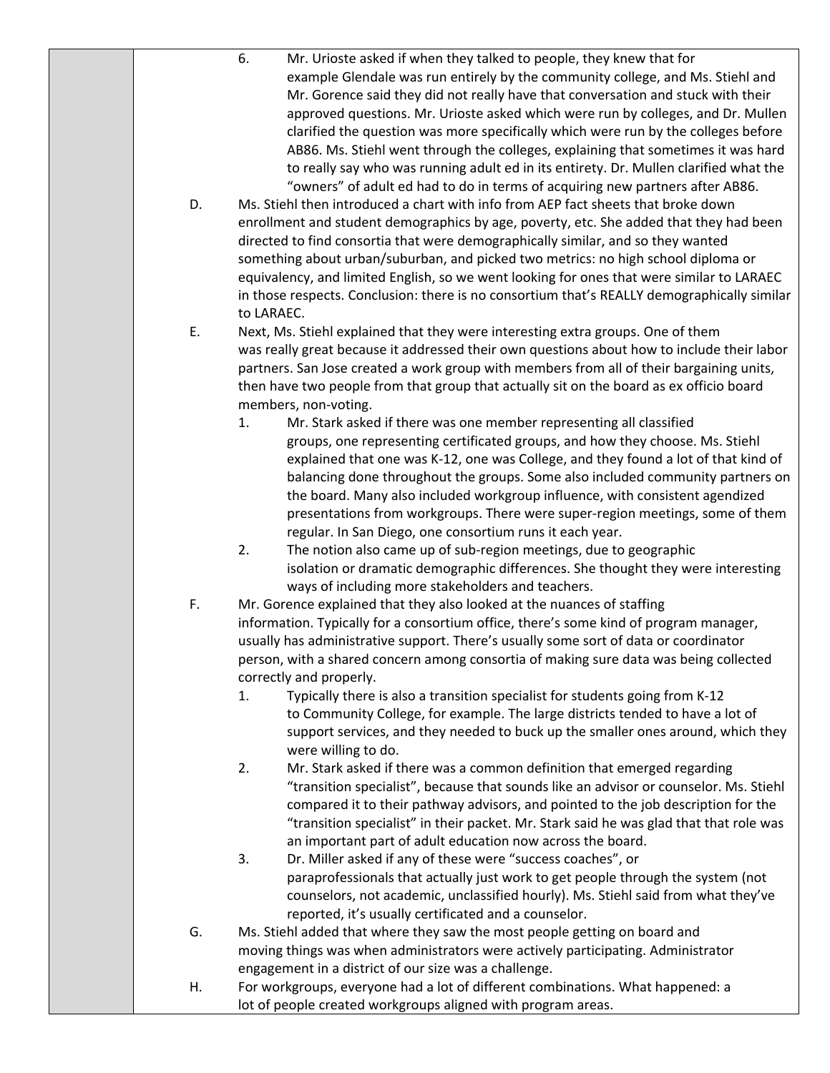| D. | 6.<br>Mr. Urioste asked if when they talked to people, they knew that for<br>example Glendale was run entirely by the community college, and Ms. Stiehl and<br>Mr. Gorence said they did not really have that conversation and stuck with their<br>approved questions. Mr. Urioste asked which were run by colleges, and Dr. Mullen<br>clarified the question was more specifically which were run by the colleges before<br>AB86. Ms. Stiehl went through the colleges, explaining that sometimes it was hard<br>to really say who was running adult ed in its entirety. Dr. Mullen clarified what the<br>"owners" of adult ed had to do in terms of acquiring new partners after AB86.<br>Ms. Stiehl then introduced a chart with info from AEP fact sheets that broke down<br>enrollment and student demographics by age, poverty, etc. She added that they had been<br>directed to find consortia that were demographically similar, and so they wanted<br>something about urban/suburban, and picked two metrics: no high school diploma or |
|----|--------------------------------------------------------------------------------------------------------------------------------------------------------------------------------------------------------------------------------------------------------------------------------------------------------------------------------------------------------------------------------------------------------------------------------------------------------------------------------------------------------------------------------------------------------------------------------------------------------------------------------------------------------------------------------------------------------------------------------------------------------------------------------------------------------------------------------------------------------------------------------------------------------------------------------------------------------------------------------------------------------------------------------------------------|
|    | equivalency, and limited English, so we went looking for ones that were similar to LARAEC<br>in those respects. Conclusion: there is no consortium that's REALLY demographically similar<br>to LARAEC.                                                                                                                                                                                                                                                                                                                                                                                                                                                                                                                                                                                                                                                                                                                                                                                                                                           |
| Ε. | Next, Ms. Stiehl explained that they were interesting extra groups. One of them<br>was really great because it addressed their own questions about how to include their labor<br>partners. San Jose created a work group with members from all of their bargaining units,<br>then have two people from that group that actually sit on the board as ex officio board<br>members, non-voting.                                                                                                                                                                                                                                                                                                                                                                                                                                                                                                                                                                                                                                                     |
|    | Mr. Stark asked if there was one member representing all classified<br>1.<br>groups, one representing certificated groups, and how they choose. Ms. Stiehl<br>explained that one was K-12, one was College, and they found a lot of that kind of<br>balancing done throughout the groups. Some also included community partners on<br>the board. Many also included workgroup influence, with consistent agendized<br>presentations from workgroups. There were super-region meetings, some of them<br>regular. In San Diego, one consortium runs it each year.                                                                                                                                                                                                                                                                                                                                                                                                                                                                                  |
|    | 2.<br>The notion also came up of sub-region meetings, due to geographic<br>isolation or dramatic demographic differences. She thought they were interesting<br>ways of including more stakeholders and teachers.                                                                                                                                                                                                                                                                                                                                                                                                                                                                                                                                                                                                                                                                                                                                                                                                                                 |
| F. | Mr. Gorence explained that they also looked at the nuances of staffing<br>information. Typically for a consortium office, there's some kind of program manager,<br>usually has administrative support. There's usually some sort of data or coordinator<br>person, with a shared concern among consortia of making sure data was being collected<br>correctly and properly.<br>Typically there is also a transition specialist for students going from K-12<br>1.<br>to Community College, for example. The large districts tended to have a lot of                                                                                                                                                                                                                                                                                                                                                                                                                                                                                              |
|    | support services, and they needed to buck up the smaller ones around, which they<br>were willing to do.<br>2.<br>Mr. Stark asked if there was a common definition that emerged regarding<br>"transition specialist", because that sounds like an advisor or counselor. Ms. Stiehl<br>compared it to their pathway advisors, and pointed to the job description for the<br>"transition specialist" in their packet. Mr. Stark said he was glad that that role was<br>an important part of adult education now across the board.                                                                                                                                                                                                                                                                                                                                                                                                                                                                                                                   |
|    | 3.<br>Dr. Miller asked if any of these were "success coaches", or<br>paraprofessionals that actually just work to get people through the system (not<br>counselors, not academic, unclassified hourly). Ms. Stiehl said from what they've<br>reported, it's usually certificated and a counselor.                                                                                                                                                                                                                                                                                                                                                                                                                                                                                                                                                                                                                                                                                                                                                |
| G. | Ms. Stiehl added that where they saw the most people getting on board and<br>moving things was when administrators were actively participating. Administrator<br>engagement in a district of our size was a challenge.                                                                                                                                                                                                                                                                                                                                                                                                                                                                                                                                                                                                                                                                                                                                                                                                                           |
| Η. | For workgroups, everyone had a lot of different combinations. What happened: a<br>lot of people created workgroups aligned with program areas.                                                                                                                                                                                                                                                                                                                                                                                                                                                                                                                                                                                                                                                                                                                                                                                                                                                                                                   |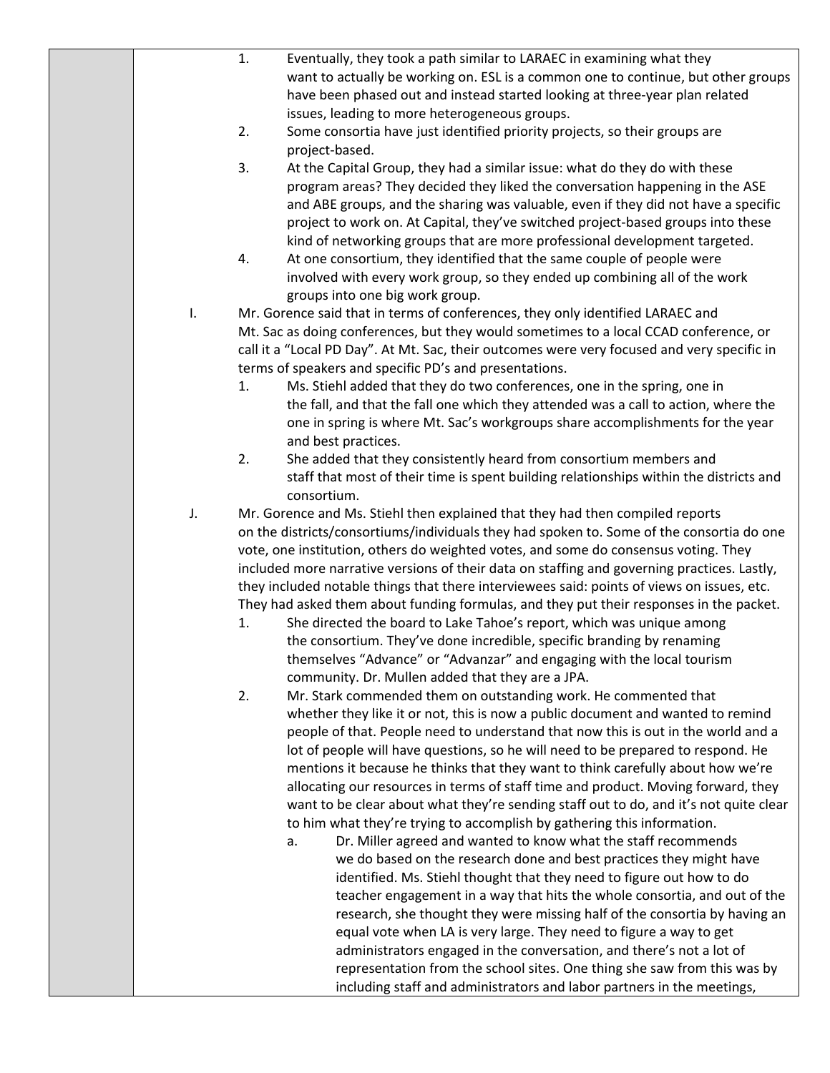|    | 1.<br>Eventually, they took a path similar to LARAEC in examining what they                                                                                         |
|----|---------------------------------------------------------------------------------------------------------------------------------------------------------------------|
|    | want to actually be working on. ESL is a common one to continue, but other groups                                                                                   |
|    | have been phased out and instead started looking at three-year plan related                                                                                         |
|    | issues, leading to more heterogeneous groups.                                                                                                                       |
|    | Some consortia have just identified priority projects, so their groups are<br>2.                                                                                    |
|    | project-based.                                                                                                                                                      |
|    | 3.<br>At the Capital Group, they had a similar issue: what do they do with these                                                                                    |
|    | program areas? They decided they liked the conversation happening in the ASE                                                                                        |
|    | and ABE groups, and the sharing was valuable, even if they did not have a specific                                                                                  |
|    | project to work on. At Capital, they've switched project-based groups into these                                                                                    |
|    | kind of networking groups that are more professional development targeted.                                                                                          |
|    | At one consortium, they identified that the same couple of people were<br>4.                                                                                        |
|    | involved with every work group, so they ended up combining all of the work                                                                                          |
|    | groups into one big work group.                                                                                                                                     |
| Ι. | Mr. Gorence said that in terms of conferences, they only identified LARAEC and                                                                                      |
|    | Mt. Sac as doing conferences, but they would sometimes to a local CCAD conference, or                                                                               |
|    | call it a "Local PD Day". At Mt. Sac, their outcomes were very focused and very specific in                                                                         |
|    | terms of speakers and specific PD's and presentations.                                                                                                              |
|    | Ms. Stiehl added that they do two conferences, one in the spring, one in<br>1.                                                                                      |
|    | the fall, and that the fall one which they attended was a call to action, where the                                                                                 |
|    | one in spring is where Mt. Sac's workgroups share accomplishments for the year                                                                                      |
|    | and best practices.                                                                                                                                                 |
|    | 2.<br>She added that they consistently heard from consortium members and                                                                                            |
|    | staff that most of their time is spent building relationships within the districts and                                                                              |
|    | consortium.                                                                                                                                                         |
| J. | Mr. Gorence and Ms. Stiehl then explained that they had then compiled reports                                                                                       |
|    | on the districts/consortiums/individuals they had spoken to. Some of the consortia do one                                                                           |
|    | vote, one institution, others do weighted votes, and some do consensus voting. They                                                                                 |
|    | included more narrative versions of their data on staffing and governing practices. Lastly,                                                                         |
|    | they included notable things that there interviewees said: points of views on issues, etc.                                                                          |
|    | They had asked them about funding formulas, and they put their responses in the packet.                                                                             |
|    | She directed the board to Lake Tahoe's report, which was unique among<br>1.                                                                                         |
|    | the consortium. They've done incredible, specific branding by renaming                                                                                              |
|    | themselves "Advance" or "Advanzar" and engaging with the local tourism                                                                                              |
|    | community. Dr. Mullen added that they are a JPA.                                                                                                                    |
|    | 2.<br>Mr. Stark commended them on outstanding work. He commented that                                                                                               |
|    | whether they like it or not, this is now a public document and wanted to remind                                                                                     |
|    | people of that. People need to understand that now this is out in the world and a                                                                                   |
|    | lot of people will have questions, so he will need to be prepared to respond. He<br>mentions it because he thinks that they want to think carefully about how we're |
|    | allocating our resources in terms of staff time and product. Moving forward, they                                                                                   |
|    | want to be clear about what they're sending staff out to do, and it's not quite clear                                                                               |
|    | to him what they're trying to accomplish by gathering this information.                                                                                             |
|    | Dr. Miller agreed and wanted to know what the staff recommends<br>a.                                                                                                |
|    | we do based on the research done and best practices they might have                                                                                                 |
|    | identified. Ms. Stiehl thought that they need to figure out how to do                                                                                               |
|    | teacher engagement in a way that hits the whole consortia, and out of the                                                                                           |
|    | research, she thought they were missing half of the consortia by having an                                                                                          |
|    | equal vote when LA is very large. They need to figure a way to get                                                                                                  |
|    | administrators engaged in the conversation, and there's not a lot of                                                                                                |
|    | representation from the school sites. One thing she saw from this was by                                                                                            |
|    | including staff and administrators and labor partners in the meetings,                                                                                              |
|    |                                                                                                                                                                     |
|    |                                                                                                                                                                     |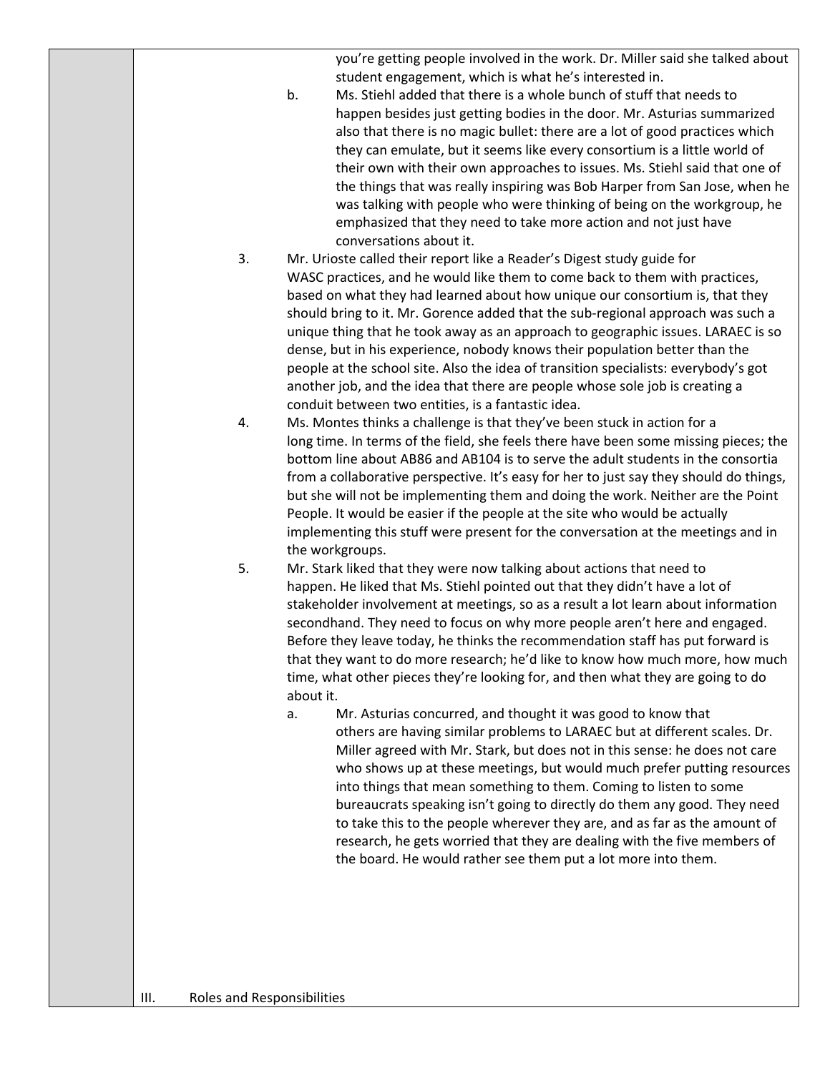you're getting people involved in the work. Dr. Miller said she talked about student engagement, which is what he's interested in.

- b. Ms. Stiehl added that there is a whole bunch of stuff that needs to happen besides just getting bodies in the door. Mr. Asturias summarized also that there is no magic bullet: there are a lot of good practices which they can emulate, but it seems like every consortium is a little world of their own with their own approaches to issues. Ms. Stiehl said that one of the things that was really inspiring was Bob Harper from San Jose, when he was talking with people who were thinking of being on the workgroup, he emphasized that they need to take more action and not just have conversations about it.
- 3. Mr. Urioste called their report like a Reader's Digest study guide for WASC practices, and he would like them to come back to them with practices, based on what they had learned about how unique our consortium is, that they should bring to it. Mr. Gorence added that the sub-regional approach was such a unique thing that he took away as an approach to geographic issues. LARAEC is so dense, but in his experience, nobody knows their population better than the people at the school site. Also the idea of transition specialists: everybody's got another job, and the idea that there are people whose sole job is creating a conduit between two entities, is a fantastic idea.
- 4. Ms. Montes thinks a challenge is that they've been stuck in action for a long time. In terms of the field, she feels there have been some missing pieces; the bottom line about AB86 and AB104 is to serve the adult students in the consortia from a collaborative perspective. It's easy for her to just say they should do things, but she will not be implementing them and doing the work. Neither are the Point People. It would be easier if the people at the site who would be actually implementing this stuff were present for the conversation at the meetings and in the workgroups.
- 5. Mr. Stark liked that they were now talking about actions that need to happen. He liked that Ms. Stiehl pointed out that they didn't have a lot of stakeholder involvement at meetings, so as a result a lot learn about information secondhand. They need to focus on why more people aren't here and engaged. Before they leave today, he thinks the recommendation staff has put forward is that they want to do more research; he'd like to know how much more, how much time, what other pieces they're looking for, and then what they are going to do about it.
	- a. Mr. Asturias concurred, and thought it was good to know that others are having similar problems to LARAEC but at different scales. Dr. Miller agreed with Mr. Stark, but does not in this sense: he does not care who shows up at these meetings, but would much prefer putting resources into things that mean something to them. Coming to listen to some bureaucrats speaking isn't going to directly do them any good. They need to take this to the people wherever they are, and as far as the amount of research, he gets worried that they are dealing with the five members of the board. He would rather see them put a lot more into them.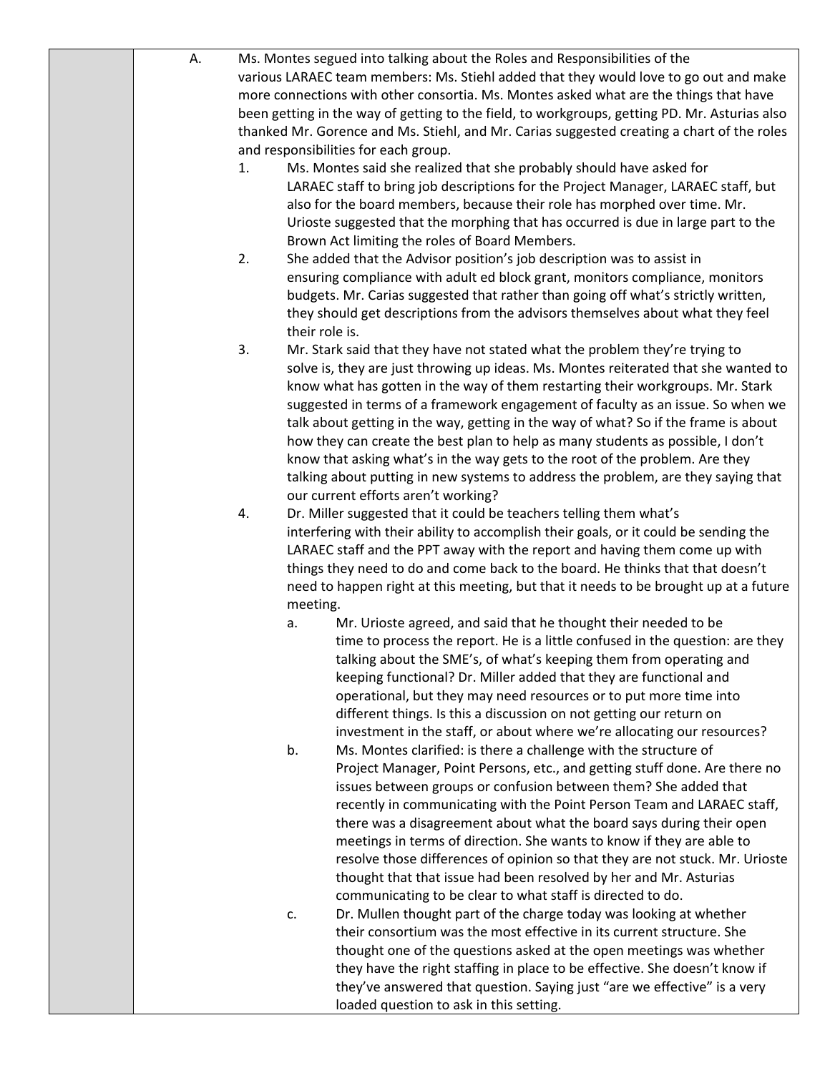| А. |    | Ms. Montes segued into talking about the Roles and Responsibilities of the                    |
|----|----|-----------------------------------------------------------------------------------------------|
|    |    | various LARAEC team members: Ms. Stiehl added that they would love to go out and make         |
|    |    | more connections with other consortia. Ms. Montes asked what are the things that have         |
|    |    | been getting in the way of getting to the field, to workgroups, getting PD. Mr. Asturias also |
|    |    | thanked Mr. Gorence and Ms. Stiehl, and Mr. Carias suggested creating a chart of the roles    |
|    |    |                                                                                               |
|    |    | and responsibilities for each group.                                                          |
|    | 1. | Ms. Montes said she realized that she probably should have asked for                          |
|    |    | LARAEC staff to bring job descriptions for the Project Manager, LARAEC staff, but             |
|    |    | also for the board members, because their role has morphed over time. Mr.                     |
|    |    | Urioste suggested that the morphing that has occurred is due in large part to the             |
|    |    | Brown Act limiting the roles of Board Members.                                                |
|    | 2. | She added that the Advisor position's job description was to assist in                        |
|    |    | ensuring compliance with adult ed block grant, monitors compliance, monitors                  |
|    |    | budgets. Mr. Carias suggested that rather than going off what's strictly written,             |
|    |    | they should get descriptions from the advisors themselves about what they feel                |
|    |    | their role is.                                                                                |
|    | 3. | Mr. Stark said that they have not stated what the problem they're trying to                   |
|    |    | solve is, they are just throwing up ideas. Ms. Montes reiterated that she wanted to           |
|    |    | know what has gotten in the way of them restarting their workgroups. Mr. Stark                |
|    |    |                                                                                               |
|    |    | suggested in terms of a framework engagement of faculty as an issue. So when we               |
|    |    | talk about getting in the way, getting in the way of what? So if the frame is about           |
|    |    | how they can create the best plan to help as many students as possible, I don't               |
|    |    | know that asking what's in the way gets to the root of the problem. Are they                  |
|    |    | talking about putting in new systems to address the problem, are they saying that             |
|    |    | our current efforts aren't working?                                                           |
|    | 4. | Dr. Miller suggested that it could be teachers telling them what's                            |
|    |    | interfering with their ability to accomplish their goals, or it could be sending the          |
|    |    | LARAEC staff and the PPT away with the report and having them come up with                    |
|    |    | things they need to do and come back to the board. He thinks that that doesn't                |
|    |    | need to happen right at this meeting, but that it needs to be brought up at a future          |
|    |    | meeting.                                                                                      |
|    | a. | Mr. Urioste agreed, and said that he thought their needed to be                               |
|    |    | time to process the report. He is a little confused in the question: are they                 |
|    |    | talking about the SME's, of what's keeping them from operating and                            |
|    |    | keeping functional? Dr. Miller added that they are functional and                             |
|    |    | operational, but they may need resources or to put more time into                             |
|    |    |                                                                                               |
|    |    | different things. Is this a discussion on not getting our return on                           |
|    |    | investment in the staff, or about where we're allocating our resources?                       |
|    | b. | Ms. Montes clarified: is there a challenge with the structure of                              |
|    |    | Project Manager, Point Persons, etc., and getting stuff done. Are there no                    |
|    |    | issues between groups or confusion between them? She added that                               |
|    |    | recently in communicating with the Point Person Team and LARAEC staff,                        |
|    |    | there was a disagreement about what the board says during their open                          |
|    |    | meetings in terms of direction. She wants to know if they are able to                         |
|    |    | resolve those differences of opinion so that they are not stuck. Mr. Urioste                  |
|    |    | thought that that issue had been resolved by her and Mr. Asturias                             |
|    |    | communicating to be clear to what staff is directed to do.                                    |
|    | c. | Dr. Mullen thought part of the charge today was looking at whether                            |
|    |    | their consortium was the most effective in its current structure. She                         |
|    |    | thought one of the questions asked at the open meetings was whether                           |
|    |    | they have the right staffing in place to be effective. She doesn't know if                    |
|    |    |                                                                                               |
|    |    | they've answered that question. Saying just "are we effective" is a very                      |
|    |    | loaded question to ask in this setting.                                                       |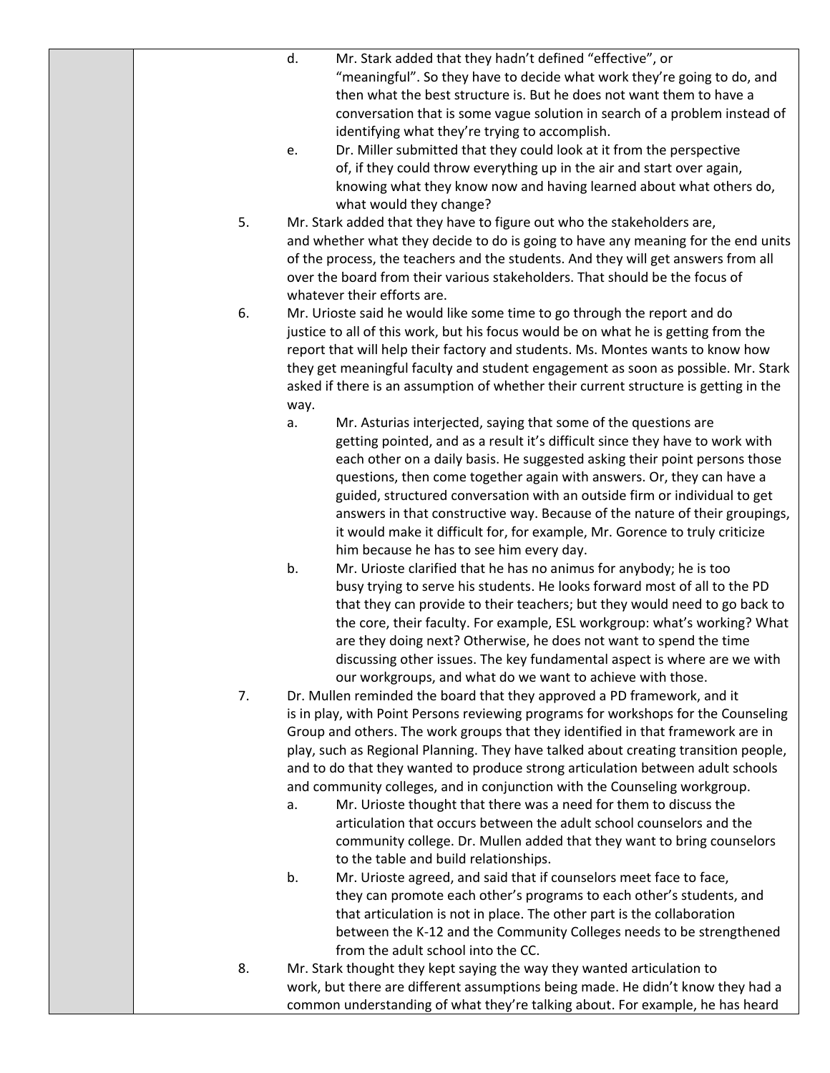|    | d.<br>Mr. Stark added that they hadn't defined "effective", or                       |
|----|--------------------------------------------------------------------------------------|
|    | "meaningful". So they have to decide what work they're going to do, and              |
|    | then what the best structure is. But he does not want them to have a                 |
|    | conversation that is some vague solution in search of a problem instead of           |
|    | identifying what they're trying to accomplish.                                       |
|    | Dr. Miller submitted that they could look at it from the perspective<br>e.           |
|    | of, if they could throw everything up in the air and start over again,               |
|    | knowing what they know now and having learned about what others do,                  |
|    | what would they change?                                                              |
| 5. | Mr. Stark added that they have to figure out who the stakeholders are,               |
|    | and whether what they decide to do is going to have any meaning for the end units    |
|    | of the process, the teachers and the students. And they will get answers from all    |
|    | over the board from their various stakeholders. That should be the focus of          |
|    | whatever their efforts are.                                                          |
| 6. | Mr. Urioste said he would like some time to go through the report and do             |
|    | justice to all of this work, but his focus would be on what he is getting from the   |
|    | report that will help their factory and students. Ms. Montes wants to know how       |
|    | they get meaningful faculty and student engagement as soon as possible. Mr. Stark    |
|    | asked if there is an assumption of whether their current structure is getting in the |
|    | way.                                                                                 |
|    | Mr. Asturias interjected, saying that some of the questions are<br>а.                |
|    | getting pointed, and as a result it's difficult since they have to work with         |
|    | each other on a daily basis. He suggested asking their point persons those           |
|    | questions, then come together again with answers. Or, they can have a                |
|    | guided, structured conversation with an outside firm or individual to get            |
|    | answers in that constructive way. Because of the nature of their groupings,          |
|    | it would make it difficult for, for example, Mr. Gorence to truly criticize          |
|    | him because he has to see him every day.                                             |
|    | b.<br>Mr. Urioste clarified that he has no animus for anybody; he is too             |
|    | busy trying to serve his students. He looks forward most of all to the PD            |
|    | that they can provide to their teachers; but they would need to go back to           |
|    | the core, their faculty. For example, ESL workgroup: what's working? What            |
|    | are they doing next? Otherwise, he does not want to spend the time                   |
|    | discussing other issues. The key fundamental aspect is where are we with             |
|    | our workgroups, and what do we want to achieve with those.                           |
| 7. | Dr. Mullen reminded the board that they approved a PD framework, and it              |
|    | is in play, with Point Persons reviewing programs for workshops for the Counseling   |
|    | Group and others. The work groups that they identified in that framework are in      |
|    | play, such as Regional Planning. They have talked about creating transition people,  |
|    | and to do that they wanted to produce strong articulation between adult schools      |
|    | and community colleges, and in conjunction with the Counseling workgroup.            |
|    | Mr. Urioste thought that there was a need for them to discuss the<br>a.              |
|    | articulation that occurs between the adult school counselors and the                 |
|    | community college. Dr. Mullen added that they want to bring counselors               |
|    | to the table and build relationships.                                                |
|    | b.<br>Mr. Urioste agreed, and said that if counselors meet face to face,             |
|    | they can promote each other's programs to each other's students, and                 |
|    | that articulation is not in place. The other part is the collaboration               |
|    | between the K-12 and the Community Colleges needs to be strengthened                 |
|    | from the adult school into the CC.                                                   |
| 8. | Mr. Stark thought they kept saying the way they wanted articulation to               |
|    | work, but there are different assumptions being made. He didn't know they had a      |
|    | common understanding of what they're talking about. For example, he has heard        |
|    |                                                                                      |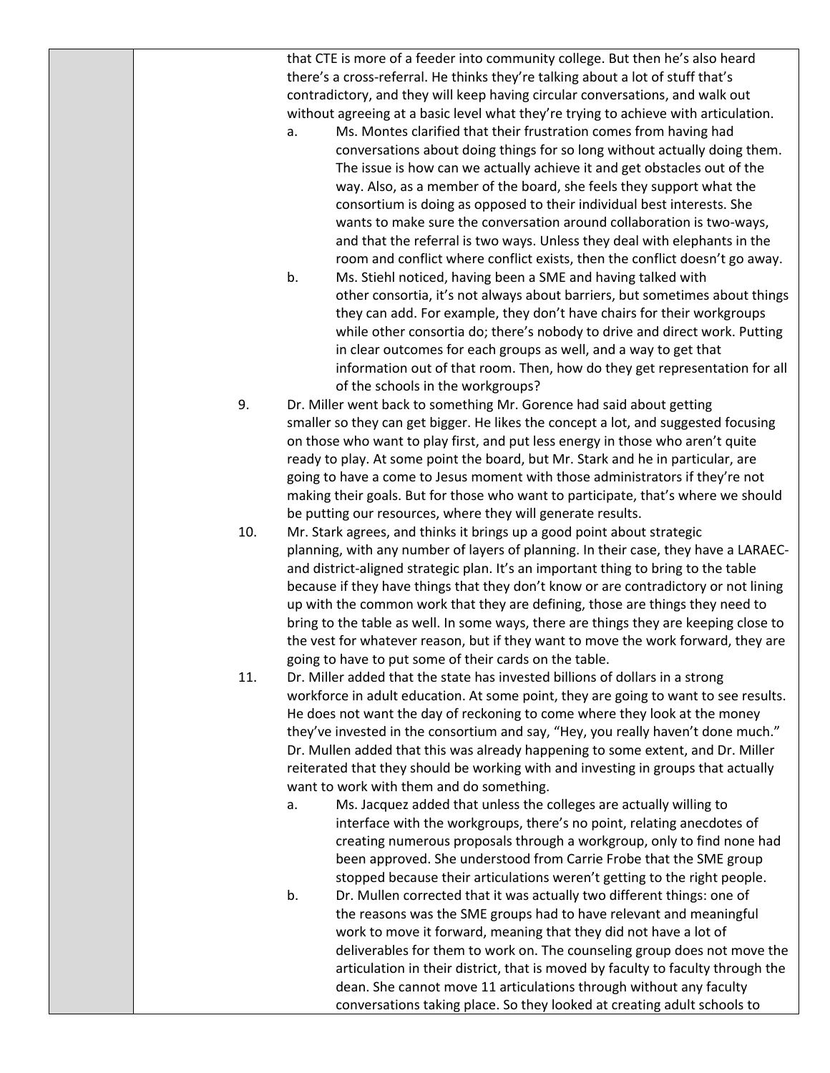that CTE is more of a feeder into community college. But then he's also heard there's a cross‐referral. He thinks they're talking about a lot of stuff that's contradictory, and they will keep having circular conversations, and walk out without agreeing at a basic level what they're trying to achieve with articulation.

- a. Ms. Montes clarified that their frustration comes from having had conversations about doing things for so long without actually doing them. The issue is how can we actually achieve it and get obstacles out of the way. Also, as a member of the board, she feels they support what the consortium is doing as opposed to their individual best interests. She wants to make sure the conversation around collaboration is two-ways, and that the referral is two ways. Unless they deal with elephants in the room and conflict where conflict exists, then the conflict doesn't go away.
- b. Ms. Stiehl noticed, having been a SME and having talked with other consortia, it's not always about barriers, but sometimes about things they can add. For example, they don't have chairs for their workgroups while other consortia do; there's nobody to drive and direct work. Putting in clear outcomes for each groups as well, and a way to get that information out of that room. Then, how do they get representation for all of the schools in the workgroups?
- 9. Dr. Miller went back to something Mr. Gorence had said about getting smaller so they can get bigger. He likes the concept a lot, and suggested focusing on those who want to play first, and put less energy in those who aren't quite ready to play. At some point the board, but Mr. Stark and he in particular, are going to have a come to Jesus moment with those administrators if they're not making their goals. But for those who want to participate, that's where we should be putting our resources, where they will generate results.
- 10. Mr. Stark agrees, and thinks it brings up a good point about strategic planning, with any number of layers of planning. In their case, they have a LARAEC‐ and district‐aligned strategic plan. It's an important thing to bring to the table because if they have things that they don't know or are contradictory or not lining up with the common work that they are defining, those are things they need to bring to the table as well. In some ways, there are things they are keeping close to the vest for whatever reason, but if they want to move the work forward, they are going to have to put some of their cards on the table.
- 11. Dr. Miller added that the state has invested billions of dollars in a strong workforce in adult education. At some point, they are going to want to see results. He does not want the day of reckoning to come where they look at the money they've invested in the consortium and say, "Hey, you really haven't done much." Dr. Mullen added that this was already happening to some extent, and Dr. Miller reiterated that they should be working with and investing in groups that actually want to work with them and do something.
	- a. Ms. Jacquez added that unless the colleges are actually willing to interface with the workgroups, there's no point, relating anecdotes of creating numerous proposals through a workgroup, only to find none had been approved. She understood from Carrie Frobe that the SME group stopped because their articulations weren't getting to the right people.
	- b. Dr. Mullen corrected that it was actually two different things: one of the reasons was the SME groups had to have relevant and meaningful work to move it forward, meaning that they did not have a lot of deliverables for them to work on. The counseling group does not move the articulation in their district, that is moved by faculty to faculty through the dean. She cannot move 11 articulations through without any faculty conversations taking place. So they looked at creating adult schools to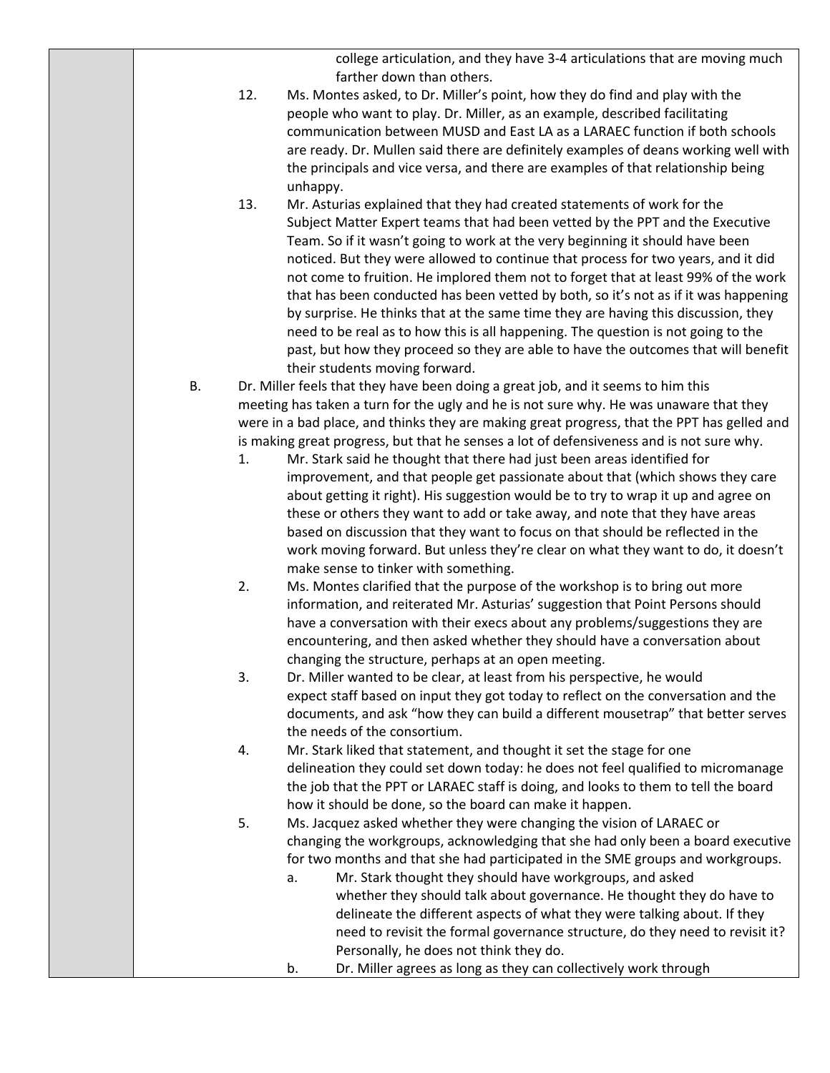college articulation, and they have 3‐4 articulations that are moving much farther down than others.

- 12. Ms. Montes asked, to Dr. Miller's point, how they do find and play with the people who want to play. Dr. Miller, as an example, described facilitating communication between MUSD and East LA as a LARAEC function if both schools are ready. Dr. Mullen said there are definitely examples of deans working well with the principals and vice versa, and there are examples of that relationship being unhappy.
- 13. Mr. Asturias explained that they had created statements of work for the Subject Matter Expert teams that had been vetted by the PPT and the Executive Team. So if it wasn't going to work at the very beginning it should have been noticed. But they were allowed to continue that process for two years, and it did not come to fruition. He implored them not to forget that at least 99% of the work that has been conducted has been vetted by both, so it's not as if it was happening by surprise. He thinks that at the same time they are having this discussion, they need to be real as to how this is all happening. The question is not going to the past, but how they proceed so they are able to have the outcomes that will benefit their students moving forward.
- B. Dr. Miller feels that they have been doing a great job, and it seems to him this meeting has taken a turn for the ugly and he is not sure why. He was unaware that they were in a bad place, and thinks they are making great progress, that the PPT has gelled and is making great progress, but that he senses a lot of defensiveness and is not sure why.
	- 1. Mr. Stark said he thought that there had just been areas identified for improvement, and that people get passionate about that (which shows they care about getting it right). His suggestion would be to try to wrap it up and agree on these or others they want to add or take away, and note that they have areas based on discussion that they want to focus on that should be reflected in the work moving forward. But unless they're clear on what they want to do, it doesn't make sense to tinker with something.
	- 2. Ms. Montes clarified that the purpose of the workshop is to bring out more information, and reiterated Mr. Asturias' suggestion that Point Persons should have a conversation with their execs about any problems/suggestions they are encountering, and then asked whether they should have a conversation about changing the structure, perhaps at an open meeting.
	- 3. Dr. Miller wanted to be clear, at least from his perspective, he would expect staff based on input they got today to reflect on the conversation and the documents, and ask "how they can build a different mousetrap" that better serves the needs of the consortium.
	- 4. Mr. Stark liked that statement, and thought it set the stage for one delineation they could set down today: he does not feel qualified to micromanage the job that the PPT or LARAEC staff is doing, and looks to them to tell the board how it should be done, so the board can make it happen.
	- 5. Ms. Jacquez asked whether they were changing the vision of LARAEC or changing the workgroups, acknowledging that she had only been a board executive for two months and that she had participated in the SME groups and workgroups.
		- a. Mr. Stark thought they should have workgroups, and asked whether they should talk about governance. He thought they do have to delineate the different aspects of what they were talking about. If they need to revisit the formal governance structure, do they need to revisit it? Personally, he does not think they do.
		- b. Dr. Miller agrees as long as they can collectively work through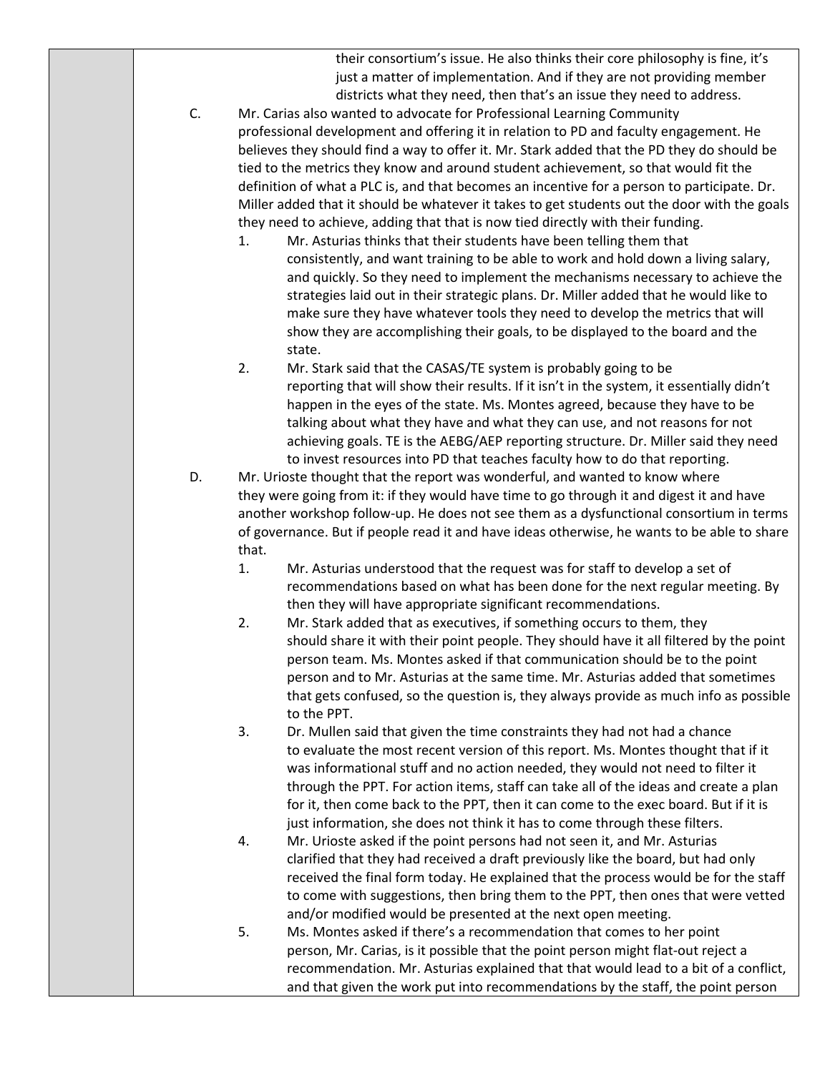their consortium's issue. He also thinks their core philosophy is fine, it's just a matter of implementation. And if they are not providing member districts what they need, then that's an issue they need to address.

- C. Mr. Carias also wanted to advocate for Professional Learning Community professional development and offering it in relation to PD and faculty engagement. He believes they should find a way to offer it. Mr. Stark added that the PD they do should be tied to the metrics they know and around student achievement, so that would fit the definition of what a PLC is, and that becomes an incentive for a person to participate. Dr. Miller added that it should be whatever it takes to get students out the door with the goals they need to achieve, adding that that is now tied directly with their funding.
	- 1. Mr. Asturias thinks that their students have been telling them that consistently, and want training to be able to work and hold down a living salary, and quickly. So they need to implement the mechanisms necessary to achieve the strategies laid out in their strategic plans. Dr. Miller added that he would like to make sure they have whatever tools they need to develop the metrics that will show they are accomplishing their goals, to be displayed to the board and the state.
	- 2. Mr. Stark said that the CASAS/TE system is probably going to be reporting that will show their results. If it isn't in the system, it essentially didn't happen in the eyes of the state. Ms. Montes agreed, because they have to be talking about what they have and what they can use, and not reasons for not achieving goals. TE is the AEBG/AEP reporting structure. Dr. Miller said they need to invest resources into PD that teaches faculty how to do that reporting.
- D. Mr. Urioste thought that the report was wonderful, and wanted to know where they were going from it: if they would have time to go through it and digest it and have another workshop follow-up. He does not see them as a dysfunctional consortium in terms of governance. But if people read it and have ideas otherwise, he wants to be able to share that.
	- 1. Mr. Asturias understood that the request was for staff to develop a set of recommendations based on what has been done for the next regular meeting. By then they will have appropriate significant recommendations.
	- 2. Mr. Stark added that as executives, if something occurs to them, they should share it with their point people. They should have it all filtered by the point person team. Ms. Montes asked if that communication should be to the point person and to Mr. Asturias at the same time. Mr. Asturias added that sometimes that gets confused, so the question is, they always provide as much info as possible to the PPT.
	- 3. Dr. Mullen said that given the time constraints they had not had a chance to evaluate the most recent version of this report. Ms. Montes thought that if it was informational stuff and no action needed, they would not need to filter it through the PPT. For action items, staff can take all of the ideas and create a plan for it, then come back to the PPT, then it can come to the exec board. But if it is just information, she does not think it has to come through these filters.
	- 4. Mr. Urioste asked if the point persons had not seen it, and Mr. Asturias clarified that they had received a draft previously like the board, but had only received the final form today. He explained that the process would be for the staff to come with suggestions, then bring them to the PPT, then ones that were vetted and/or modified would be presented at the next open meeting.
	- 5. Ms. Montes asked if there's a recommendation that comes to her point person, Mr. Carias, is it possible that the point person might flat‐out reject a recommendation. Mr. Asturias explained that that would lead to a bit of a conflict, and that given the work put into recommendations by the staff, the point person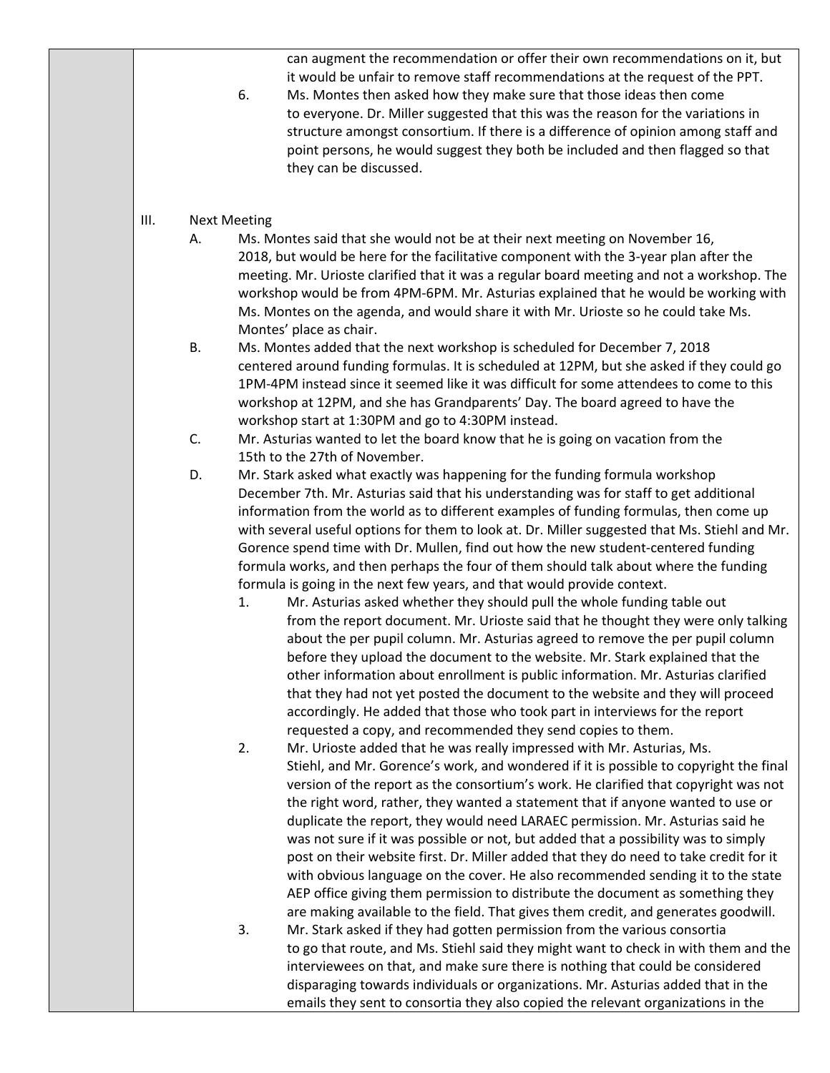can augment the recommendation or offer their own recommendations on it, but it would be unfair to remove staff recommendations at the request of the PPT.

 6. Ms. Montes then asked how they make sure that those ideas then come to everyone. Dr. Miller suggested that this was the reason for the variations in structure amongst consortium. If there is a difference of opinion among staff and point persons, he would suggest they both be included and then flagged so that they can be discussed.

## III. Next Meeting

- A. Ms. Montes said that she would not be at their next meeting on November 16, 2018, but would be here for the facilitative component with the 3‐year plan after the meeting. Mr. Urioste clarified that it was a regular board meeting and not a workshop. The workshop would be from 4PM‐6PM. Mr. Asturias explained that he would be working with Ms. Montes on the agenda, and would share it with Mr. Urioste so he could take Ms. Montes' place as chair.
- B. Ms. Montes added that the next workshop is scheduled for December 7, 2018 centered around funding formulas. It is scheduled at 12PM, but she asked if they could go 1PM-4PM instead since it seemed like it was difficult for some attendees to come to this workshop at 12PM, and she has Grandparents' Day. The board agreed to have the workshop start at 1:30PM and go to 4:30PM instead.

 C. Mr. Asturias wanted to let the board know that he is going on vacation from the 15th to the 27th of November.

D. Mr. Stark asked what exactly was happening for the funding formula workshop December 7th. Mr. Asturias said that his understanding was for staff to get additional information from the world as to different examples of funding formulas, then come up with several useful options for them to look at. Dr. Miller suggested that Ms. Stiehl and Mr. Gorence spend time with Dr. Mullen, find out how the new student‐centered funding formula works, and then perhaps the four of them should talk about where the funding formula is going in the next few years, and that would provide context.

- 1. Mr. Asturias asked whether they should pull the whole funding table out from the report document. Mr. Urioste said that he thought they were only talking about the per pupil column. Mr. Asturias agreed to remove the per pupil column before they upload the document to the website. Mr. Stark explained that the other information about enrollment is public information. Mr. Asturias clarified that they had not yet posted the document to the website and they will proceed accordingly. He added that those who took part in interviews for the report requested a copy, and recommended they send copies to them.
- 2. Mr. Urioste added that he was really impressed with Mr. Asturias, Ms. Stiehl, and Mr. Gorence's work, and wondered if it is possible to copyright the final version of the report as the consortium's work. He clarified that copyright was not the right word, rather, they wanted a statement that if anyone wanted to use or duplicate the report, they would need LARAEC permission. Mr. Asturias said he was not sure if it was possible or not, but added that a possibility was to simply post on their website first. Dr. Miller added that they do need to take credit for it with obvious language on the cover. He also recommended sending it to the state AEP office giving them permission to distribute the document as something they are making available to the field. That gives them credit, and generates goodwill.

3. Mr. Stark asked if they had gotten permission from the various consortia to go that route, and Ms. Stiehl said they might want to check in with them and the interviewees on that, and make sure there is nothing that could be considered disparaging towards individuals or organizations. Mr. Asturias added that in the emails they sent to consortia they also copied the relevant organizations in the